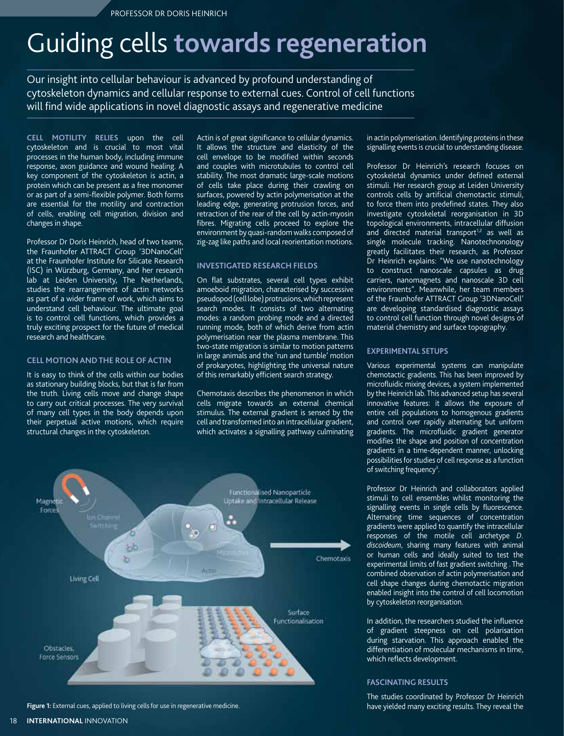# Guiding cells **towards regeneration**

Our insight into cellular behaviour is advanced by profound understanding of cytoskeleton dynamics and cellular response to external cues. Control of cell functions will find wide applications in novel diagnostic assays and regenerative medicine

**Cell motility relies** upon the cell cytoskeleton and is crucial to most vital processes in the human body, including immune response, axon guidance and wound healing. A key component of the cytoskeleton is actin, a protein which can be present as a free monomer or as part of a semi-flexible polymer. Both forms are essential for the motility and contraction of cells, enabling cell migration, division and changes in shape.

Professor Dr Doris Heinrich, head of two teams, the Fraunhofer ATTRACT Group '3DNanoCell' at the Fraunhofer Institute for Silicate Research (ISC) in Würzburg, Germany, and her research lab at Leiden University, The Netherlands, studies the rearrangement of actin networks as part of a wider frame of work, which aims to understand cell behaviour. The ultimate goal is to control cell functions, which provides a truly exciting prospect for the future of medical research and healthcare.

# **Cell motion andthe role of actin**

It is easy to think of the cells within our bodies as stationary building blocks, but that is far from the truth. Living cells move and change shape to carry out critical processes. The very survival of many cell types in the body depends upon their perpetual active motions, which require structural changes in the cytoskeleton.

Actin is of great significance to cellular dynamics. It allows the structure and elasticity of the cell envelope to be modified within seconds and couples with microtubules to control cell stability. The most dramatic large-scale motions of cells take place during their crawling on surfaces, powered by actin polymerisation at the leading edge, generating protrusion forces, and retraction of the rear of the cell by actin-myosin fibres. Migrating cells proceed to explore the environment by quasi-random walks composed of zig-zag like paths and local reorientation motions.

# **Investigated research fields**

On flat substrates, several cell types exhibit amoeboid migration, characterised by successive pseudopod (cell lobe) protrusions, which represent search modes. It consists of two alternating modes: a random probing mode and a directed running mode, both of which derive from actin polymerisation near the plasma membrane. This two-state migration is similar to motion patterns in large animals and the 'run and tumble' motion of prokaryotes, highlighting the universal nature of this remarkably efficient search strategy.

Chemotaxis describes the phenomenon in which cells migrate towards an external chemical stimulus. The external gradient is sensed by the cell and transformed into an intracellular gradient, which activates a signalling pathway culminating



**Figure 1:** External cues, applied to living cells for use in regenerative medicine.

in actin polymerisation. Identifying proteins in these signalling events is crucial to understanding disease.

Professor Dr Heinrich's research focuses on cytoskeletal dynamics under defined external stimuli. Her research group at Leiden University controls cells by artificial chemotactic stimuli, to force them into predefined states. They also investigate cytoskeletal reorganisation in 3D topological environments, intracellular diffusion and directed material transport $1,2$  as well as single molecule tracking. Nanotechnonology greatly facilitates their research, as Professor Dr Heinrich explains: "We use nanotechnology to construct nanoscale capsules as drug carriers, nanomagnets and nanoscale 3D cell environments". Meanwhile, her team members of the Fraunhofer ATTRACT Group '3DNanoCell' are developing standardised diagnostic assays to control cell function through novel designs of material chemistry and surface topography.

# **Experimental setups**

Various experimental systems can manipulate chemotactic gradients. This has been improved by microfluidic mixing devices, a system implemented by the Heinrich lab. This advanced setup has several innovative features: it allows the exposure of entire cell populations to homogenous gradients and control over rapidly alternating but uniform gradients. The microfluidic gradient generator modifies the shape and position of concentration gradients in a time-dependent manner, unlocking possibilities for studies of cell response as a function of switching frequency<sup>3</sup>.

Professor Dr Heinrich and collaborators applied stimuli to cell ensembles whilst monitoring the signalling events in single cells by fluorescence. Alternating time sequences of concentration gradients were applied to quantify the intracellular responses of the motile cell archetype *D. discoideum*, sharing many features with animal or human cells and ideally suited to test the experimental limits of fast gradient switching . The combined observation of actin polymerisation and cell shape changes during chemotactic migration enabled insight into the control of cell locomotion by cytoskeleton reorganisation.

In addition, the researchers studied the influence of gradient steepness on cell polarisation during starvation. This approach enabled the differentiation of molecular mechanisms in time, which reflects development.

## **Fascinating results**

The studies coordinated by Professor Dr Heinrich have yielded many exciting results. They reveal the